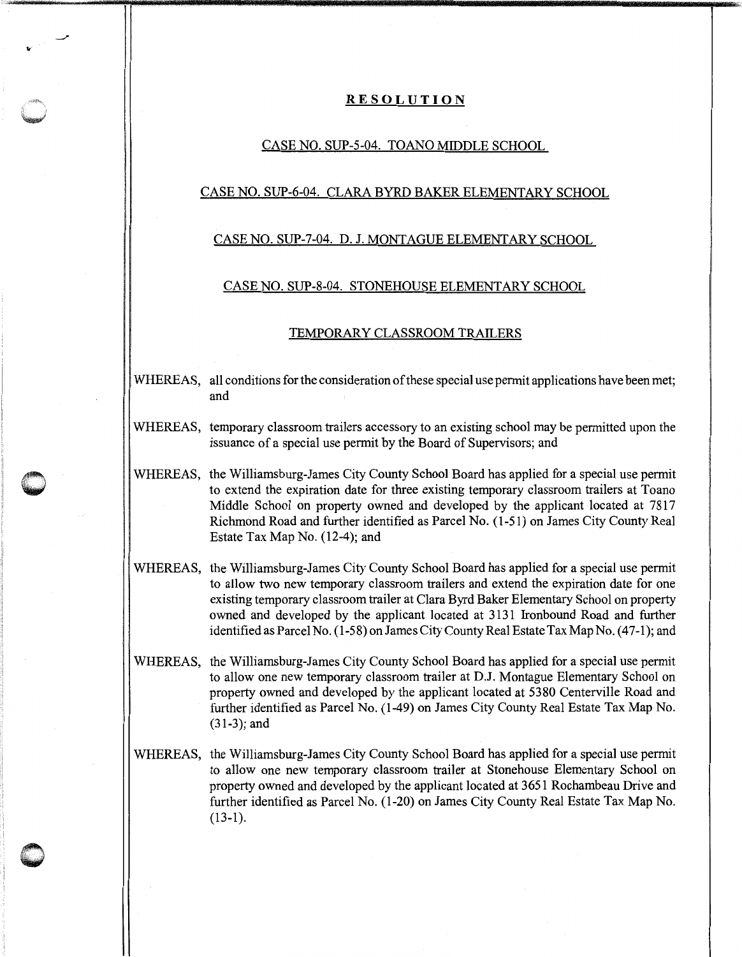# **RESOLUTION**

### CASE NO. SUP-5-04. TOANO MIDDLE SCHOOL

## CASE NO. SUP-6-04. CLARA BYRD BAKER ELEMENTARY SCHOOL

# CASE NO. SUP-7-04. D. J. MONTAGUE ELEMENTARY SCHOOL

### CASE NO. SUP-8-04. STONEHOUSE ELEMENTARY SCHOOL

#### TEMPORARY CLASSROOM TRAILERS

- WHEREAS, all conditions for the consideration of these special use permit applications have been met; and
- WHEREAS, temporary classroom trailers accessory to an existing school may be permitted upon the issuance of a special use permit by the Board of Supervisors; and
- WHEREAS, the Williamsburg-James City County School Board has applied for a special use permit to extend the expiration date for three existing temporary classroom trailers at Toano Middle School on property owned and developed by the applicant located at 7817 Richmond Road and further identified as Parcel No. (1-51) on James City County Real Estate Tax Map No. (12-4); and

**0** '

- WHEREAS, the Williamsburg-James City County School Board has applied for a special use permit to allow two new temporary classroom trailers and extend the expiration date for one existing temporary classroom trailer at Clara Byrd Baker Elementary School on property owned and developed by the applicant located at 3131 Ironbound Road and further identified as Parcel No. (1-58) on James City County Real Estate Tax Map No. (47-1); and
- WHEREAS, the Williamsburg-James City County School Board has applied for a special use permit to allow one new temporary classroom trailer at D.J. Montague Elementary School on property owned and developed by the applicant located at 5380 Centerville Road and further identified as Parcel No. (1-49) on James City County Real Estate Tax Map No. (31-3); and
- WHEREAS, the Williamsburg-James City County School Board has applied for a special use permit to allow one new temporary classroom trailer at Stonehouse Elementary School on property owned and developed by the applicant located at 3651 Rochambeau Drive and further identified as Parcel No. (1-20) on James City County Real Estate Tax Map No. (13-1).